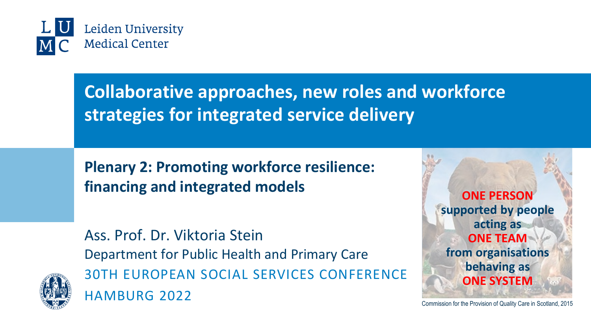

# **Collaborative approaches, new roles and workforce strategies for integrated service delivery**

**Plenary 2: Promoting workforce resilience: financing and integrated models**

Ass. Prof. Dr. Viktoria Stein Department for Public Health and Primary Care 30TH EUROPEAN SOCIAL SERVICES CONFERENCE HAMBURG 2022



Commission for the Provision of Quality Care in Scotland, 2015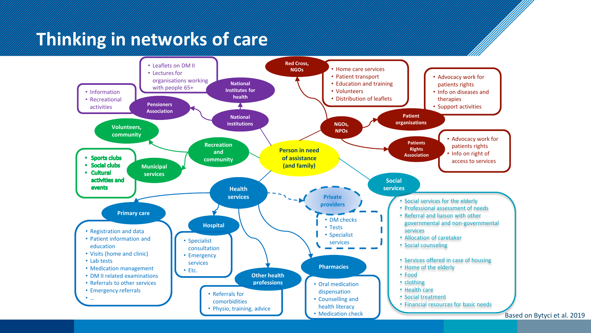## **Thinking in networks of care**



Based on Bytyci et al. 2019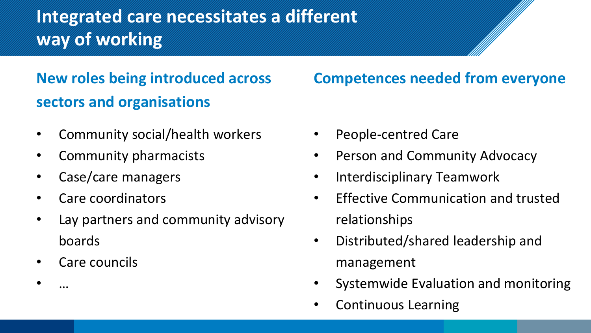# **Integrated care necessitates a different way of working**

### **New roles being introduced across sectors and organisations**

- Community social/health workers
- Community pharmacists
- Case/care managers
- Care coordinators
- Lay partners and community advisory boards
- Care councils

• …

**Competences needed from everyone**

- People-centred Care
- Person and Community Advocacy
- Interdisciplinary Teamwork
- Effective Communication and trusted relationships
- Distributed/shared leadership and management
- Systemwide Evaluation and monitoring
- Continuous Learning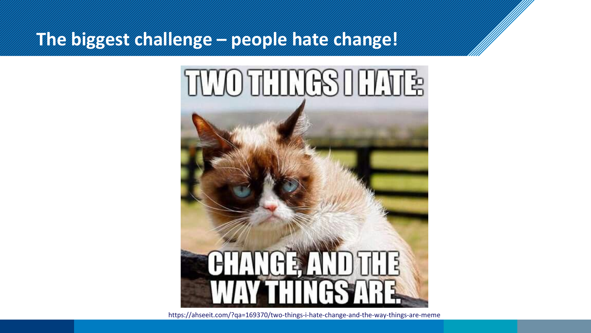### **The biggest challenge – people hate change!**



https://ahseeit.com/?qa=169370/two-things-i-hate-change-and-the-way-things-are-meme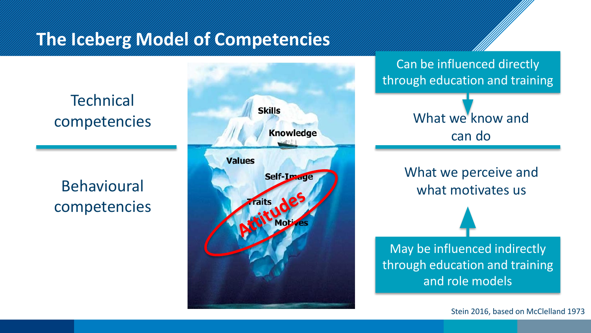#### **The Iceberg Model of Competencies**

**Technical** competencies

Behavioural competencies



Can be influenced directly through education and training

> What we know and can do

What we perceive and what motivates us

May be influenced indirectly through education and training and role models

Stein 2016, based on McClelland 1973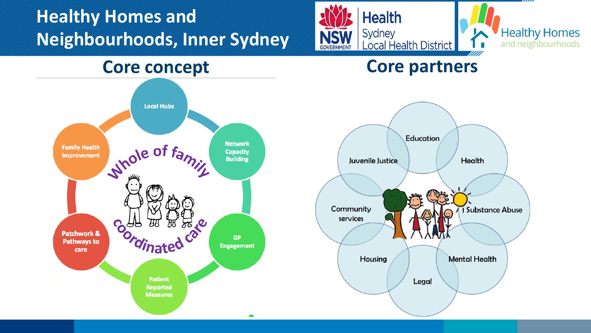